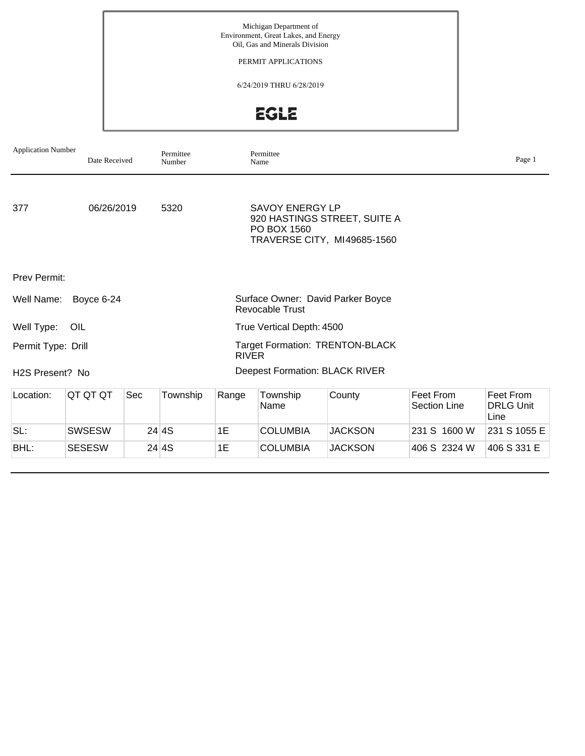PERMIT APPLICATIONS

6/24/2019 THRU 6/28/2019

**EGLE** 

| <b>Application Number</b>    | Date Received |     | Permittee<br>Number |              | Permittee<br>Name                     |                                                             |                                  | Page 1                                |
|------------------------------|---------------|-----|---------------------|--------------|---------------------------------------|-------------------------------------------------------------|----------------------------------|---------------------------------------|
| 377                          | 06/26/2019    |     | 5320                |              | <b>SAVOY ENERGY LP</b><br>PO BOX 1560 | 920 HASTINGS STREET, SUITE A<br>TRAVERSE CITY, MI49685-1560 |                                  |                                       |
| <b>Prev Permit:</b>          |               |     |                     |              |                                       |                                                             |                                  |                                       |
| Well Name:                   | Boyce 6-24    |     |                     |              | <b>Revocable Trust</b>                | Surface Owner: David Parker Boyce                           |                                  |                                       |
| Well Type:                   | OIL           |     |                     |              | True Vertical Depth: 4500             |                                                             |                                  |                                       |
| Permit Type: Drill           |               |     |                     | <b>RIVER</b> |                                       | <b>Target Formation: TRENTON-BLACK</b>                      |                                  |                                       |
| H <sub>2</sub> S Present? No |               |     |                     |              |                                       | <b>Deepest Formation: BLACK RIVER</b>                       |                                  |                                       |
| Location:                    | QT QT QT      | Sec | Township            | Range        | Township<br>Name                      | County                                                      | Feet From<br><b>Section Line</b> | Feet From<br><b>DRLG Unit</b><br>Line |
| SL:                          | SWSESW        |     | 24 4S               | 1E           | <b>COLUMBIA</b>                       | <b>JACKSON</b>                                              | 231 S 1600 W                     | 231 S 1055 E                          |
| BHL:                         | <b>SESESW</b> |     | 24 4S               | 1E           | <b>COLUMBIA</b>                       | <b>JACKSON</b>                                              | 406 S 2324 W                     | 406 S 331 E                           |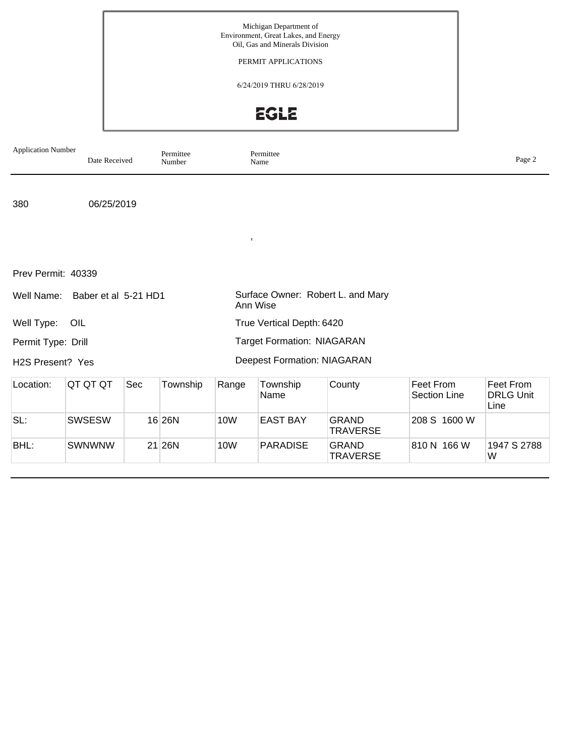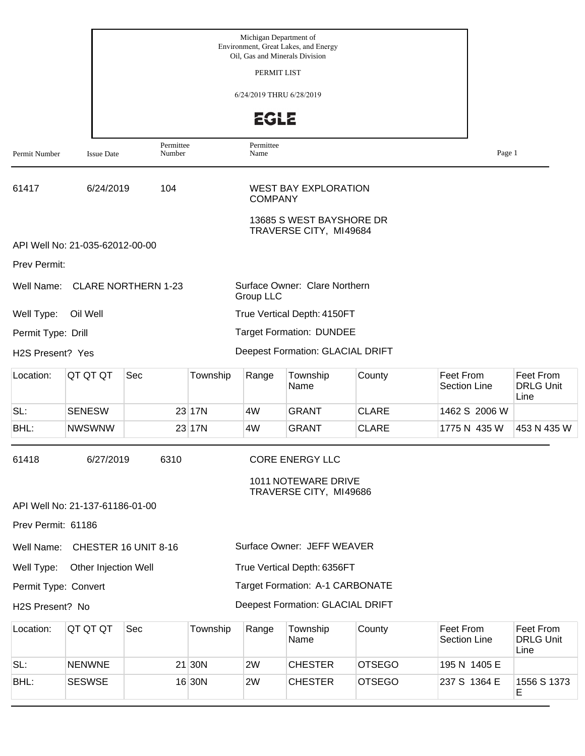|                               |                                 |                            |          | Michigan Department of<br>Oil, Gas and Minerals Division | Environment, Great Lakes, and Energy               |               |                           |                                       |
|-------------------------------|---------------------------------|----------------------------|----------|----------------------------------------------------------|----------------------------------------------------|---------------|---------------------------|---------------------------------------|
|                               |                                 |                            |          | PERMIT LIST                                              |                                                    |               |                           |                                       |
|                               |                                 |                            |          | 6/24/2019 THRU 6/28/2019                                 |                                                    |               |                           |                                       |
|                               |                                 |                            |          | <b>EGLE</b>                                              |                                                    |               |                           |                                       |
| Permit Number                 | <b>Issue Date</b>               | Permittee<br>Number        |          | Permittee<br>Name                                        |                                                    |               | Page 1                    |                                       |
| 61417                         | 6/24/2019                       | 104                        |          | <b>COMPANY</b>                                           | <b>WEST BAY EXPLORATION</b>                        |               |                           |                                       |
|                               |                                 |                            |          |                                                          | 13685 S WEST BAYSHORE DR<br>TRAVERSE CITY, MI49684 |               |                           |                                       |
|                               | API Well No: 21-035-62012-00-00 |                            |          |                                                          |                                                    |               |                           |                                       |
| Prev Permit:                  |                                 |                            |          |                                                          |                                                    |               |                           |                                       |
| Well Name:                    |                                 | <b>CLARE NORTHERN 1-23</b> |          | Group LLC                                                | Surface Owner: Clare Northern                      |               |                           |                                       |
| Well Type:                    | Oil Well                        |                            |          |                                                          | True Vertical Depth: 4150FT                        |               |                           |                                       |
| Permit Type: Drill            |                                 |                            |          |                                                          | <b>Target Formation: DUNDEE</b>                    |               |                           |                                       |
| H <sub>2</sub> S Present? Yes |                                 |                            |          |                                                          | Deepest Formation: GLACIAL DRIFT                   |               |                           |                                       |
| Location:                     | QT QT QT                        | Sec                        | Township | Range                                                    | Township<br>Name                                   | County        | Feet From<br>Section Line | Feet From<br><b>DRLG Unit</b><br>Line |
| SL:                           | <b>SENESW</b>                   |                            | 23 17N   | 4W                                                       | GRANT                                              | <b>CLARE</b>  | 1462 S 2006 W             |                                       |
| BHL:                          | <b>NWSWNW</b>                   |                            | 23 17N   | 4W                                                       | <b>GRANT</b>                                       | <b>CLARE</b>  | 1775 N 435 W              | 453 N 435 W                           |
| 61418                         | 6/27/2019                       | 6310                       |          |                                                          | <b>CORE ENERGY LLC</b>                             |               |                           |                                       |
|                               |                                 |                            |          |                                                          | 1011 NOTEWARE DRIVE<br>TRAVERSE CITY, MI49686      |               |                           |                                       |
|                               | API Well No: 21-137-61186-01-00 |                            |          |                                                          |                                                    |               |                           |                                       |
| Prev Permit: 61186            |                                 |                            |          |                                                          |                                                    |               |                           |                                       |
| Well Name:                    |                                 | CHESTER 16 UNIT 8-16       |          |                                                          | Surface Owner: JEFF WEAVER                         |               |                           |                                       |
| Well Type:                    | Other Injection Well            |                            |          |                                                          | True Vertical Depth: 6356FT                        |               |                           |                                       |
| Permit Type: Convert          |                                 |                            |          |                                                          | <b>Target Formation: A-1 CARBONATE</b>             |               |                           |                                       |
| H2S Present? No               |                                 |                            |          |                                                          | Deepest Formation: GLACIAL DRIFT                   |               |                           |                                       |
| Location:                     | QT QT QT                        | Sec                        | Township | Range                                                    | Township<br>Name                                   | County        | Feet From<br>Section Line | Feet From<br><b>DRLG Unit</b><br>Line |
| SL:                           | <b>NENWNE</b>                   |                            | $21$ 30N | 2W                                                       | <b>CHESTER</b>                                     | <b>OTSEGO</b> | 195 N 1405 E              |                                       |
| BHL:                          | <b>SESWSE</b>                   |                            | 16 30N   | 2W                                                       | <b>CHESTER</b>                                     | <b>OTSEGO</b> | 237 S 1364 E              | 1556 S 1373                           |

E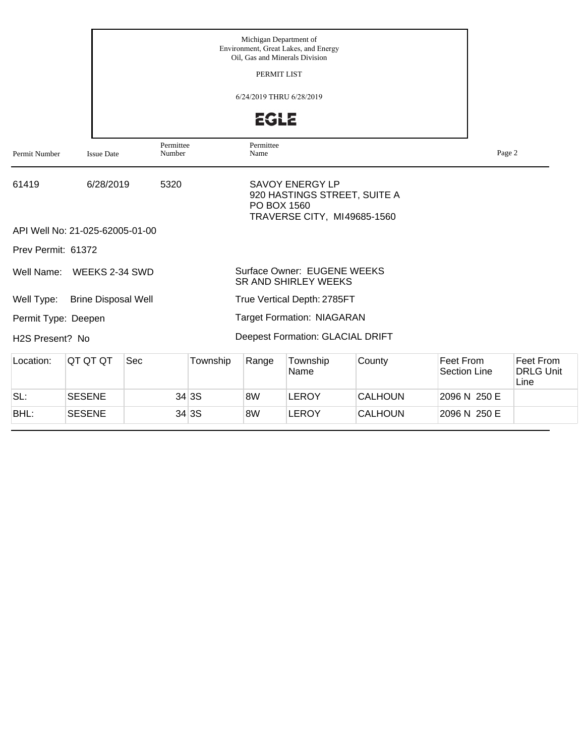|                              |                                 |                     |          | Michigan Department of   | Environment, Great Lakes, and Energy<br>Oil, Gas and Minerals Division                |                |                                  |        |                                       |
|------------------------------|---------------------------------|---------------------|----------|--------------------------|---------------------------------------------------------------------------------------|----------------|----------------------------------|--------|---------------------------------------|
|                              |                                 |                     |          | PERMIT LIST              |                                                                                       |                |                                  |        |                                       |
|                              |                                 |                     |          | 6/24/2019 THRU 6/28/2019 |                                                                                       |                |                                  |        |                                       |
|                              |                                 |                     |          | <b>EGLE</b>              |                                                                                       |                |                                  |        |                                       |
| Permit Number                | <b>Issue Date</b>               | Permittee<br>Number |          | Permittee<br>Name        |                                                                                       |                |                                  | Page 2 |                                       |
| 61419                        | 6/28/2019                       | 5320                |          | PO BOX 1560              | <b>SAVOY ENERGY LP</b><br>920 HASTINGS STREET, SUITE A<br>TRAVERSE CITY, MI49685-1560 |                |                                  |        |                                       |
|                              | API Well No: 21-025-62005-01-00 |                     |          |                          |                                                                                       |                |                                  |        |                                       |
| Prev Permit: 61372           |                                 |                     |          |                          |                                                                                       |                |                                  |        |                                       |
| Well Name:                   | WEEKS 2-34 SWD                  |                     |          |                          | <b>Surface Owner: EUGENE WEEKS</b><br><b>SR AND SHIRLEY WEEKS</b>                     |                |                                  |        |                                       |
| Well Type:                   | <b>Brine Disposal Well</b>      |                     |          |                          | True Vertical Depth: 2785FT                                                           |                |                                  |        |                                       |
| Permit Type: Deepen          |                                 |                     |          |                          | <b>Target Formation: NIAGARAN</b>                                                     |                |                                  |        |                                       |
| H <sub>2</sub> S Present? No |                                 |                     |          |                          | Deepest Formation: GLACIAL DRIFT                                                      |                |                                  |        |                                       |
| Location:                    | QT QT QT                        | Sec                 | Township | Range                    | Township<br>Name                                                                      | County         | Feet From<br><b>Section Line</b> |        | Feet From<br><b>DRLG Unit</b><br>Line |
| SL:                          | <b>SESENE</b>                   |                     | 34 3S    | 8W                       | <b>LEROY</b>                                                                          | <b>CALHOUN</b> | 2096 N 250 E                     |        |                                       |
| BHL:                         | <b>SESENE</b>                   |                     | 34 3S    | 8W                       | <b>LEROY</b>                                                                          | <b>CALHOUN</b> | 2096 N 250 E                     |        |                                       |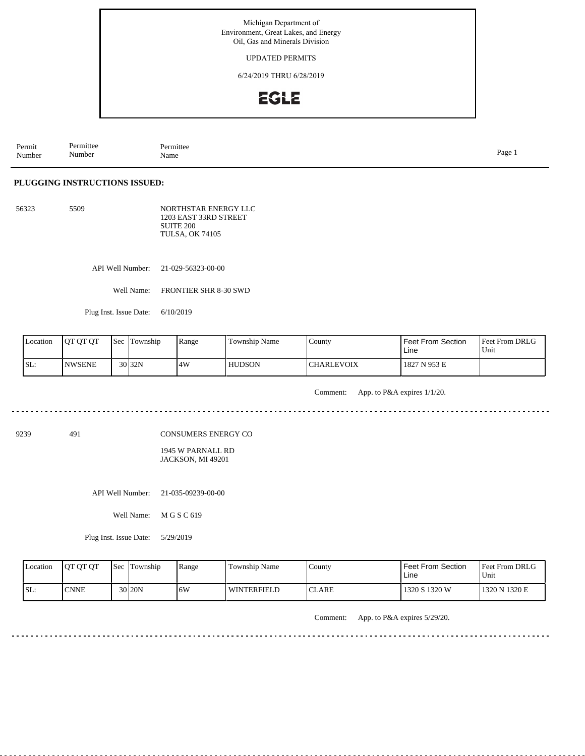UPDATED PERMITS

6/24/2019 THRU 6/28/2019

# **EGLE**

Permit Number Permittee Number Permittee<br>Name Name Page 1

#### **PLUGGING INSTRUCTIONS ISSUED:**

56323 5509 NORTHSTAR ENERGY LLC 1203 EAST 33RD STREET SUITE 200 TULSA, OK 74105

API Well Number: 21-029-56323-00-00

Well Name: FRONTIER SHR 8-30 SWD

Plug Inst. Issue Date: 6/10/2019

| Location | <b>JOT OT OT</b> | <b>Sec</b> | Township | Range | <b>Township Name</b> | County            | <b>Feet From Section</b><br>Line | Feet From DRLG<br>Unit |
|----------|------------------|------------|----------|-------|----------------------|-------------------|----------------------------------|------------------------|
| SL:      | <b>NWSENE</b>    |            | $30$ 32N | 4W    | <b>HUDSON</b>        | <b>CHARLEVOIX</b> | 1827 N 953 E                     |                        |

dia dia dia

Comment: App. to P&A expires 1/1/20.

dia dia dia d

 $2.22222222$ 

9239 491

CONSUMERS ENERGY CO

1945 W PARNALL RD JACKSON, MI 49201

API Well Number: 21-035-09239-00-00

Well Name: M G S C 619

Plug Inst. Issue Date: 5/29/2019

| Location | <b>OT OT OT</b> | <b>Sec Township</b> | Range | Township Name      | County        | <b>Feet From Section</b><br>Line | Feet From DRLG<br>Unit |
|----------|-----------------|---------------------|-------|--------------------|---------------|----------------------------------|------------------------|
| SL:      | <b>CNNE</b>     | 30 <sub>20N</sub>   | 16W   | <b>WINTERFIELD</b> | <b>ICLARE</b> | 1320 S 1320 W                    | 1320 N 1320 E          |

Comment: App. to P&A expires 5/29/20.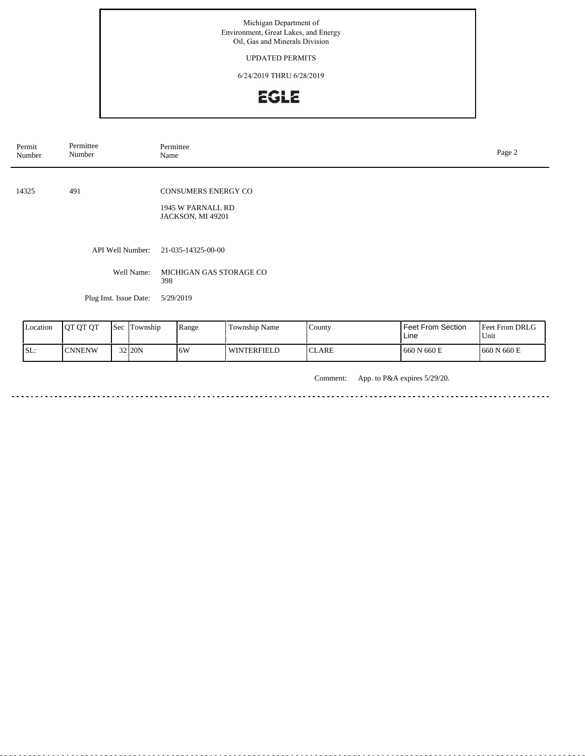UPDATED PERMITS

6/24/2019 THRU 6/28/2019

# EGLE

| Permit<br>Number | Permittee<br>Number    | Permittee<br>Name                                             | Page 2 |
|------------------|------------------------|---------------------------------------------------------------|--------|
| 14325            | 491                    | CONSUMERS ENERGY CO<br>1945 W PARNALL RD<br>JACKSON, MI 49201 |        |
|                  | API Well Number:       | 21-035-14325-00-00                                            |        |
|                  | Well Name:             | MICHIGAN GAS STORAGE CO<br>398                                |        |
|                  | Plug Inst. Issue Date: | 5/29/2019                                                     |        |

| <b>L</b> ocation | <b>IOT OT OT</b> | <b>Sec</b> | Township | Range | <b>Township Name</b> | County | <b>Feet From Section</b><br>Line | Feet From DRLG<br>Unit |
|------------------|------------------|------------|----------|-------|----------------------|--------|----------------------------------|------------------------|
| SL:              | <b>CNNENW</b>    |            | 32 20N   | .6W   | <b>WINTERFIELD</b>   | ICLARE | 660 N 660 E                      | 1660 N 660 E           |

Comment: App. to P&A expires 5/29/20.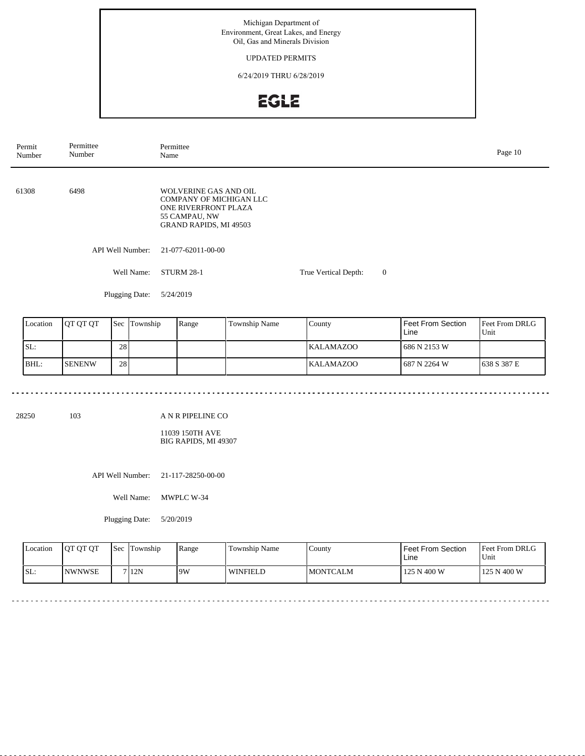### UPDATED PERMITS

6/24/2019 THRU 6/28/2019

# EGLE

| Permit<br>Number | Permittee<br>Number | Permittee<br>Name                                                                                                          |                      |                | Page 10 |
|------------------|---------------------|----------------------------------------------------------------------------------------------------------------------------|----------------------|----------------|---------|
| 61308            | 6498                | <b>WOLVERINE GAS AND OIL</b><br>COMPANY OF MICHIGAN LLC<br>ONE RIVERFRONT PLAZA<br>55 CAMPAU, NW<br>GRAND RAPIDS, MI 49503 |                      |                |         |
|                  | API Well Number:    | 21-077-62011-00-00                                                                                                         |                      |                |         |
|                  | Well Name:          | <b>STURM 28-1</b>                                                                                                          | True Vertical Depth: | $\overline{0}$ |         |
|                  | Plugging Date:      | 5/24/2019                                                                                                                  |                      |                |         |

| Location | <b>IOT OT OT</b> |     | <b>Sec</b> Township | Range | Township Name | County           | Feet From Section<br>Line | <b>Feet From DRLG</b><br>Unit |
|----------|------------------|-----|---------------------|-------|---------------|------------------|---------------------------|-------------------------------|
| SL:      |                  | 281 |                     |       |               | <b>KALAMAZOO</b> | 686 N 2153 W              |                               |
| BHL:     | <b>ISENENW</b>   | 28  |                     |       |               | <b>KALAMAZOO</b> | 687 N 2264 W              | 1638 S 387 E                  |

28250 103

 $\frac{1}{2} \left( \frac{1}{2} \right) \left( \frac{1}{2} \right) \left( \frac{1}{2} \right) \left( \frac{1}{2} \right)$ 

 $\sim$   $\sim$ 

A N R PIPELINE CO

11039 150TH AVE BIG RAPIDS, MI 49307

API Well Number: 21-117-28250-00-00

Well Name: MWPLC W-34

Plugging Date: 5/20/2019

| <b>L</b> ocation | <b>OT OT OT</b> | <b>Sec</b> Township | Range | Township Name   | Countv           | Feet From Section<br>Line | <b>Feet From DRLG</b><br>Unit |
|------------------|-----------------|---------------------|-------|-----------------|------------------|---------------------------|-------------------------------|
| ISL:             | <b>INWNWSE</b>  | 7 12N               | 19W   | <b>WINFIELD</b> | <b>IMONTCALM</b> | 125 N 400 W               | 125 N 400 W                   |

 $\frac{1}{2}$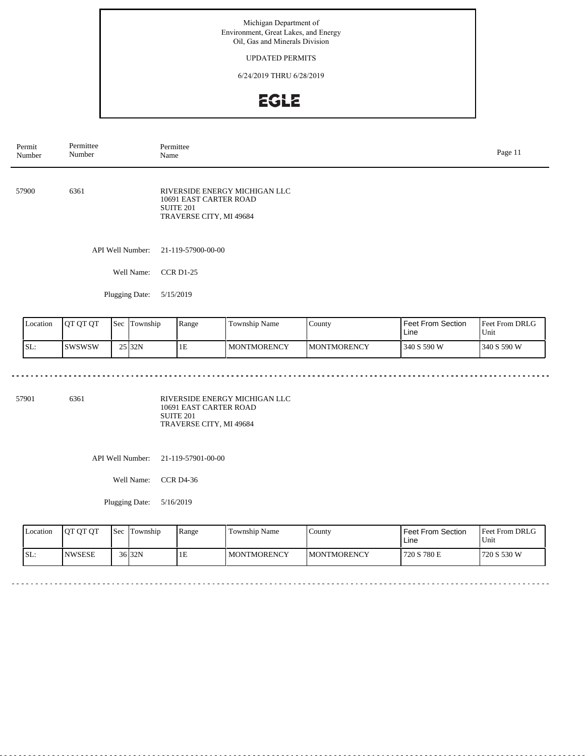## UPDATED PERMITS

6/24/2019 THRU 6/28/2019

# **EGLE**

| Permit<br>Number | Permittee<br>Number            |  | Name             | Permittee                                                             |                               |        |                   |                |  |  |
|------------------|--------------------------------|--|------------------|-----------------------------------------------------------------------|-------------------------------|--------|-------------------|----------------|--|--|
| 57900            | 6361                           |  |                  | 10691 EAST CARTER ROAD<br><b>SUITE 201</b><br>TRAVERSE CITY, MI 49684 | RIVERSIDE ENERGY MICHIGAN LLC |        |                   |                |  |  |
|                  |                                |  | API Well Number: | 21-119-57900-00-00                                                    |                               |        |                   |                |  |  |
|                  | <b>CCR D1-25</b><br>Well Name: |  |                  |                                                                       |                               |        |                   |                |  |  |
|                  |                                |  | Plugging Date:   | 5/15/2019                                                             |                               |        |                   |                |  |  |
| Location         | QT QT QT                       |  | Sec Township     | Range                                                                 | Township Name                 | County | Feet From Section | Feet From DRLG |  |  |

| Location | <b>IOT OT OT</b> | Sec | Township           | Range | Township Name      | County              | <b>Feet From Section</b><br>Line | <b>Feet From DRLG</b><br>Unit |
|----------|------------------|-----|--------------------|-------|--------------------|---------------------|----------------------------------|-------------------------------|
| ISL:     | Iswswsw          |     | 25 <sub>132N</sub> | 1E    | <b>MONTMORENCY</b> | <b>IMONTMORENCY</b> | 340 S 590 W                      | 340 S 590 W                   |

57901 6361

<u>. . . . . . .</u>

RIVERSIDE ENERGY MICHIGAN LLC 10691 EAST CARTER ROAD SUITE 201 TRAVERSE CITY, MI 49684

API Well Number: 21-119-57901-00-00

Well Name: CCR D4-36

| Location | <b>IOT OT OT</b> | l Sec | Township           | Range | Township Name | County       | <b>Feet From Section</b><br>Line | <b>Feet From DRLG</b><br>Unit |
|----------|------------------|-------|--------------------|-------|---------------|--------------|----------------------------------|-------------------------------|
| SL:      | <b>NWSESE</b>    |       | 36 <sub>132N</sub> | ΙE    | MONTMORENCY   | IMONTMORENCY | 720 S 780 E                      | 720 S 530 W                   |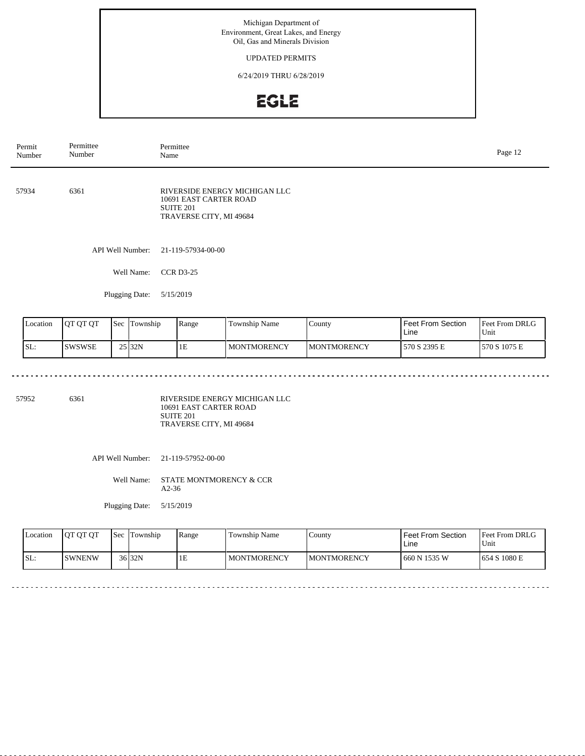### UPDATED PERMITS

6/24/2019 THRU 6/28/2019

## EGLE

| Permit<br>Number | Permittee<br>Number | Permittee<br>Name |                                                                                                            |               |        |                   | Page 12        |  |
|------------------|---------------------|-------------------|------------------------------------------------------------------------------------------------------------|---------------|--------|-------------------|----------------|--|
| 57934            | 6361                |                   | RIVERSIDE ENERGY MICHIGAN LLC<br>10691 EAST CARTER ROAD<br>SUITE <sub>201</sub><br>TRAVERSE CITY, MI 49684 |               |        |                   |                |  |
|                  |                     | API Well Number:  | 21-119-57934-00-00                                                                                         |               |        |                   |                |  |
|                  |                     | Well Name:        | <b>CCR D3-25</b>                                                                                           |               |        |                   |                |  |
|                  |                     | Plugging Date:    | 5/15/2019                                                                                                  |               |        |                   |                |  |
| Location         | QT QT QT            | Sec Township      | Range                                                                                                      | Township Name | County | Feet From Section | Feet From DRLG |  |

| Location | <b>IOT OT OT</b> | Sec | Township           | Range | Township Name      | County              | <b>Feet From Section</b><br>Line | <b>Feet From DRLG</b><br>Unit |
|----------|------------------|-----|--------------------|-------|--------------------|---------------------|----------------------------------|-------------------------------|
| ISL:     | <b>ISWSWSE</b>   |     | 25 <sub>132N</sub> | 1E    | <b>MONTMORENCY</b> | <b>IMONTMORENCY</b> | 570 S 2395 E                     | 1570 S 1075 E                 |

57952 6361

RIVERSIDE ENERGY MICHIGAN LLC 10691 EAST CARTER ROAD SUITE 201 TRAVERSE CITY, MI 49684

API Well Number: 21-119-57952-00-00

Well Name: STATE MONTMORENCY & CCR A2-36

Plugging Date: 5/15/2019

| Location | <b>IOT OT OT</b> | <b>Sec</b> | Township | Range | Township Name      | County              | Feet From Section<br>Line | <b>Feet From DRLG</b><br>Unit |
|----------|------------------|------------|----------|-------|--------------------|---------------------|---------------------------|-------------------------------|
| SL:      | <b>ISWNENW</b>   |            | $36$ 32N | 1E    | <b>MONTMORENCY</b> | <b>IMONTMORENCY</b> | 660 N 1535 W              | 1654 S 1080 E                 |

<u>. . . . . . . . . . . . .</u>

 $-$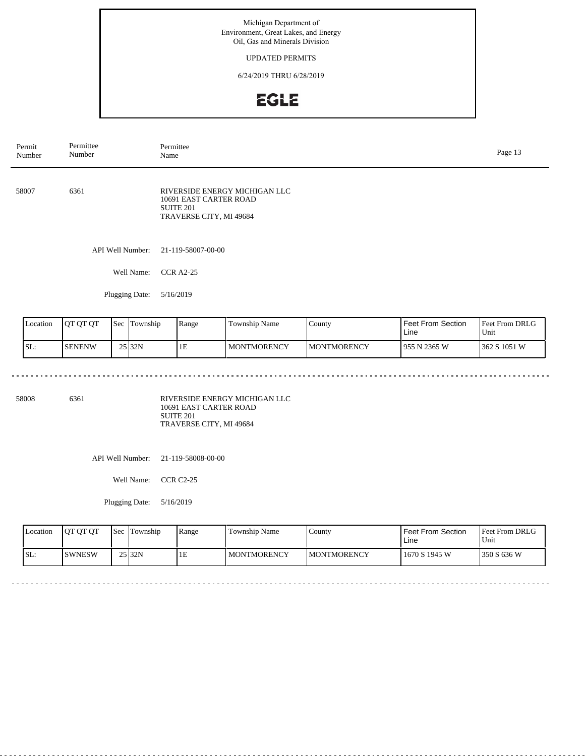## UPDATED PERMITS

6/24/2019 THRU 6/28/2019

# **EGLE**

| Permit<br>Number | Permittee<br>Number      | Permittee<br>Name |                                                                                    |        |                   |                |  |  |  |
|------------------|--------------------------|-------------------|------------------------------------------------------------------------------------|--------|-------------------|----------------|--|--|--|
| 58007            | 6361                     | <b>SUITE 201</b>  | RIVERSIDE ENERGY MICHIGAN LLC<br>10691 EAST CARTER ROAD<br>TRAVERSE CITY, MI 49684 |        |                   |                |  |  |  |
|                  | API Well Number:         |                   | 21-119-58007-00-00                                                                 |        |                   |                |  |  |  |
|                  | Well Name:               | <b>CCR A2-25</b>  |                                                                                    |        |                   |                |  |  |  |
|                  | Plugging Date:           | 5/16/2019         |                                                                                    |        |                   |                |  |  |  |
| Location         | QT QT QT<br>Sec Township | Range             | Township Name                                                                      | County | Feet From Section | Feet From DRLG |  |  |  |

| Location | <b>IOT OT OT</b> | Sec | Township | Range | Township Name | County              | <b>Feet From Section</b><br>Line | <b>Feet From DRLG</b><br>Unit |
|----------|------------------|-----|----------|-------|---------------|---------------------|----------------------------------|-------------------------------|
| ISL:     | <b>ISENENW</b>   |     | 25 32N   | 1E    | MONTMORENCY   | <b>IMONTMORENCY</b> | 1955 N 2365 W                    | 362 S 1051 W                  |

58008 6361

<u>. . . . . . . .</u>

RIVERSIDE ENERGY MICHIGAN LLC 10691 EAST CARTER ROAD SUITE 201 TRAVERSE CITY, MI 49684

API Well Number: 21-119-58008-00-00

Well Name: CCR C2-25

| Location | <b>IOT OT OT</b> | <b>Sec Township</b> | Range | Township Name | County              | <b>Feet From Section</b><br>Line | <b>Feet From DRLG</b><br>Unit |
|----------|------------------|---------------------|-------|---------------|---------------------|----------------------------------|-------------------------------|
| SL:      | ISWNESW          | 25 <sub>132N</sub>  | TЕ    | MONTMORENCY   | <b>IMONTMORENCY</b> | 1670 S 1945 W                    | 1350 S 636 W                  |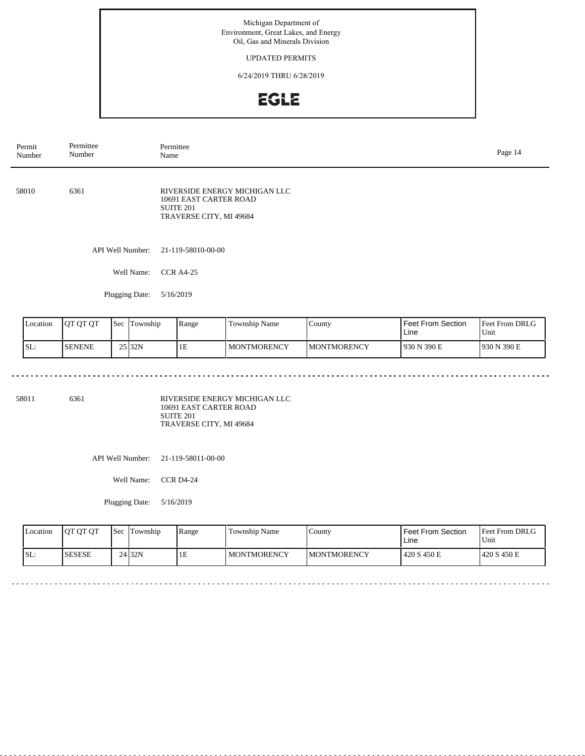## UPDATED PERMITS

6/24/2019 THRU 6/28/2019

## **EGLE**

| Permit<br>Number | Permittee<br>Number                 | Permittee<br>Name                                          |                                                                       |                               |                  |                   | Page 14                                 |
|------------------|-------------------------------------|------------------------------------------------------------|-----------------------------------------------------------------------|-------------------------------|------------------|-------------------|-----------------------------------------|
| 58010            | 6361                                |                                                            | 10691 EAST CARTER ROAD<br><b>SUITE 201</b><br>TRAVERSE CITY, MI 49684 | RIVERSIDE ENERGY MICHIGAN LLC |                  |                   |                                         |
|                  | API Well Number:                    |                                                            | 21-119-58010-00-00                                                    |                               |                  |                   |                                         |
|                  | Well Name:                          |                                                            | <b>CCR A4-25</b>                                                      |                               |                  |                   |                                         |
|                  | Plugging Date:                      |                                                            | 5/16/2019                                                             |                               |                  |                   |                                         |
| $I$ contion      | $\Delta$ $\sigma$ $\sigma$ $\sigma$ | $\int$ $g_{\alpha\alpha}$ $\int$ $T_{\alpha\nu}$ resolving | $D_{\theta}$                                                          | Township Name                 | $C_{\text{out}}$ | East From Cootion | $E_{\text{out}} E_{\text{com}}$ DDI $C$ |

| Location | <b>IOT OT OT</b> | <b>Sec</b> | Township | Range | Township Name | County              | <b>Feet From Section</b><br>Line | <b>Feet From DRLG</b><br>Unit |
|----------|------------------|------------|----------|-------|---------------|---------------------|----------------------------------|-------------------------------|
| SL:      | <b>SENENE</b>    |            | 25 32N   | 1E    | I MONTMORENCY | <b>IMONTMORENCY</b> | 1930 N 390 E                     | 1930 N 390 E                  |

58011 6361

<u>. . . . . . . . . .</u>

RIVERSIDE ENERGY MICHIGAN LLC 10691 EAST CARTER ROAD SUITE 201 TRAVERSE CITY, MI 49684

API Well Number: 21-119-58011-00-00

Well Name: CCR D4-24

| Location | <b>IOT OT OT</b> | l Sec | Township          | Range | Township Name | County              | Feet From Section<br>Line | Feet From DRLG<br>Unit |
|----------|------------------|-------|-------------------|-------|---------------|---------------------|---------------------------|------------------------|
| SL:      | <b>SESESE</b>    |       | 24 <sub>32N</sub> | ĪЕ    | MONTMORENCY   | <b>IMONTMORENCY</b> | 420 S 450 E               | 1420 S 450 E           |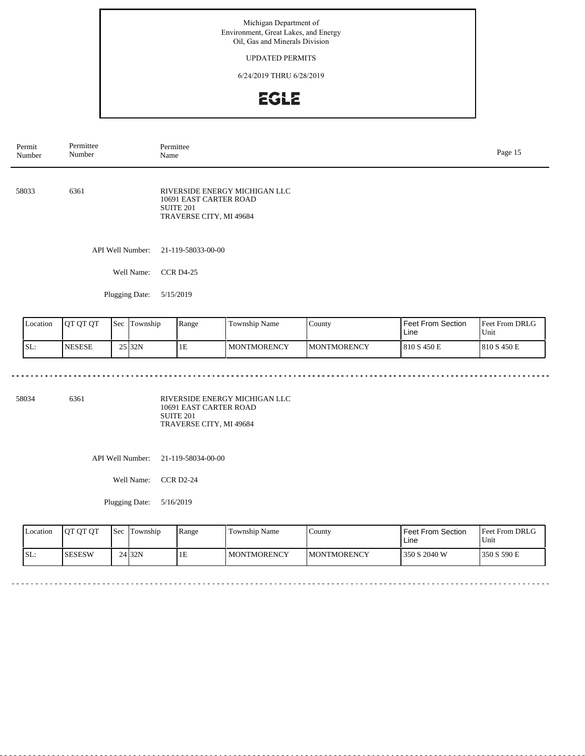### UPDATED PERMITS

6/24/2019 THRU 6/28/2019

## **EGLE**

| Permit<br>Number | Permittee<br>Number |              | Permittee<br>Name                                              |                               |        |                   |                |  |
|------------------|---------------------|--------------|----------------------------------------------------------------|-------------------------------|--------|-------------------|----------------|--|
| 58033            | 6361                |              | 10691 EAST CARTER ROAD<br>SUITE 201<br>TRAVERSE CITY, MI 49684 | RIVERSIDE ENERGY MICHIGAN LLC |        |                   |                |  |
|                  | API Well Number:    |              | 21-119-58033-00-00                                             |                               |        |                   |                |  |
|                  | Well Name:          |              | <b>CCR D4-25</b>                                               |                               |        |                   |                |  |
|                  | Plugging Date:      | 5/15/2019    |                                                                |                               |        |                   |                |  |
| Location         | OT OT OT            | Sec Township | Range                                                          | Township Name                 | County | Feet From Section | Feet From DRLG |  |

| Location | <b>IOT OT OT</b> | Sec | Township           | Range | Township Name      | County              | <b>Feet From Section</b><br>∟ine | <b>Feet From DRLG</b><br>Unit |
|----------|------------------|-----|--------------------|-------|--------------------|---------------------|----------------------------------|-------------------------------|
| ISL:     | <b>INESESE</b>   |     | 25 <sub>132N</sub> | 1E    | <b>MONTMORENCY</b> | <b>IMONTMORENCY</b> | 810 S 450 E                      | 1810 S 450 E                  |

58034 6361

<u>. . . . . . . . .</u>

RIVERSIDE ENERGY MICHIGAN LLC 10691 EAST CARTER ROAD SUITE 201 TRAVERSE CITY, MI 49684

API Well Number: 21-119-58034-00-00

Well Name: CCR D2-24

| Location | <b>IOT OT OT</b> | l Sec | Township          | Range | Township Name | County              | <b>Feet From Section</b><br>Line | Feet From DRLG<br>Unit |
|----------|------------------|-------|-------------------|-------|---------------|---------------------|----------------------------------|------------------------|
| SL:      | ISESESW          |       | 24 <sub>32N</sub> | ĪЕ    | MONTMORENCY   | <b>IMONTMORENCY</b> | 1350 S 2040 W                    | 1350 S 590 E           |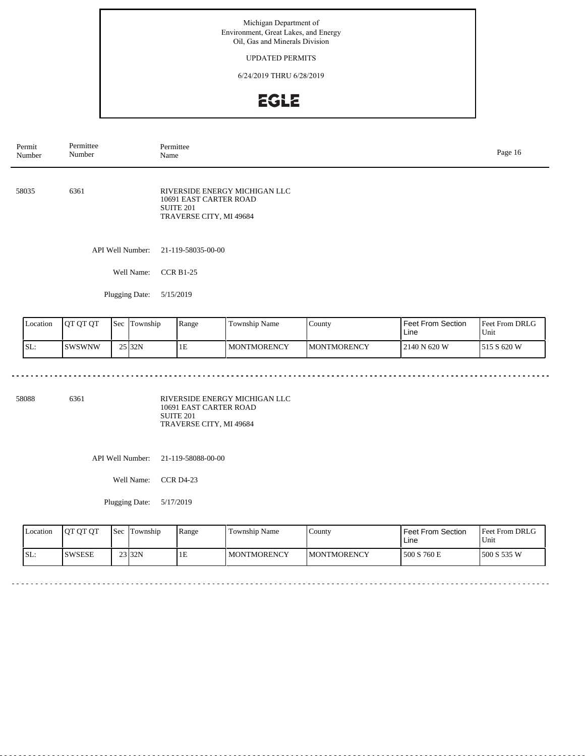## UPDATED PERMITS

6/24/2019 THRU 6/28/2019

# **EGLE**

| Permit<br>Number | Permittee<br>Number | Permittee<br>Name |                                                                       |                               |        |                   | Page 16        |
|------------------|---------------------|-------------------|-----------------------------------------------------------------------|-------------------------------|--------|-------------------|----------------|
| 58035            | 6361                |                   | 10691 EAST CARTER ROAD<br><b>SUITE 201</b><br>TRAVERSE CITY, MI 49684 | RIVERSIDE ENERGY MICHIGAN LLC |        |                   |                |
|                  |                     | API Well Number:  | 21-119-58035-00-00                                                    |                               |        |                   |                |
|                  |                     | Well Name:        | <b>CCR B1-25</b>                                                      |                               |        |                   |                |
|                  |                     | Plugging Date:    | 5/15/2019                                                             |                               |        |                   |                |
| Location         | QT QT QT            | Sec Township      | Range                                                                 | Township Name                 | County | Feet From Section | Feet From DRLG |

| Location | 10T OT OT | <b>Sec</b> | l'I'ownship | Range | Township Name | County              | Feet From Section<br>Line | <b>Feet From DRLG</b><br>Unit |
|----------|-----------|------------|-------------|-------|---------------|---------------------|---------------------------|-------------------------------|
| SL:      | ISWSWNW   |            | 25 32N      | 1E    | MONTMORENCY   | <b>IMONTMORENCY</b> | 2140 N 620 W              | 1515 S 620 W                  |

58088 6361

<u>. . . . . . . .</u>

RIVERSIDE ENERGY MICHIGAN LLC 10691 EAST CARTER ROAD SUITE 201 TRAVERSE CITY, MI 49684

API Well Number: 21-119-58088-00-00

Well Name: CCR D4-23

| Location | <b>IOT OT OT</b> | l Sec | Township           | Range | Township Name | County              | <b>Feet From Section</b><br>Line | Feet From DRLG<br>Unit |
|----------|------------------|-------|--------------------|-------|---------------|---------------------|----------------------------------|------------------------|
| SL:      | ISWSESE          |       | 23 <sub>132N</sub> | ĪЕ    | MONTMORENCY   | <b>IMONTMORENCY</b> | 1500 S 760 E                     | 1500 S 535 W           |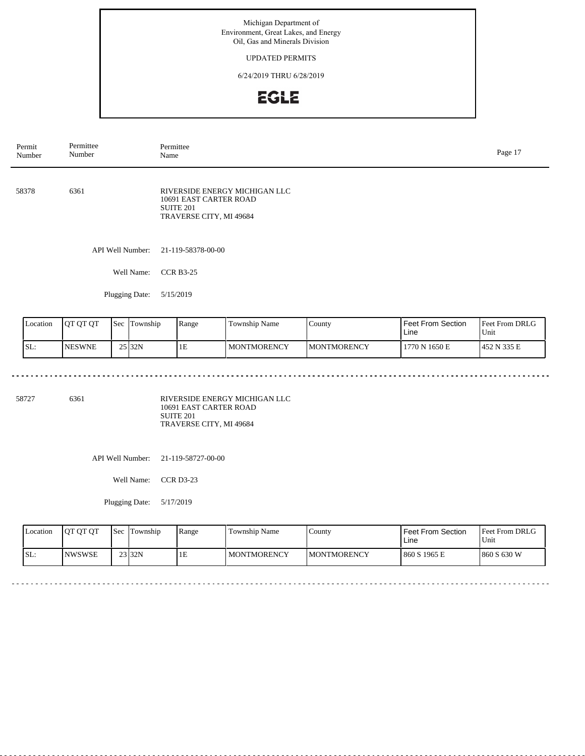UPDATED PERMITS

6/24/2019 THRU 6/28/2019

# **EGLE**

| Permit<br>Number | Permittee<br>Number      | Permittee<br>Name                                                     |                               |        |                   | Page 17        |
|------------------|--------------------------|-----------------------------------------------------------------------|-------------------------------|--------|-------------------|----------------|
| 58378            | 6361                     | 10691 EAST CARTER ROAD<br><b>SUITE 201</b><br>TRAVERSE CITY, MI 49684 | RIVERSIDE ENERGY MICHIGAN LLC |        |                   |                |
|                  | API Well Number:         | 21-119-58378-00-00                                                    |                               |        |                   |                |
|                  | Well Name:               | <b>CCR B3-25</b>                                                      |                               |        |                   |                |
|                  | Plugging Date:           | 5/15/2019                                                             |                               |        |                   |                |
| Location         | QT QT QT<br>Sec Township | Range                                                                 | Township Name                 | County | Feet From Section | Feet From DRLG |

| Location | <b>IOT OT OT</b> | <b>Sec</b> | Township           | Range | Township Name      | County              | <b>Feet From Section</b><br>Line | <b>Feet From DRLG</b><br>Unit |
|----------|------------------|------------|--------------------|-------|--------------------|---------------------|----------------------------------|-------------------------------|
| SL:      | <b>INESWNE</b>   |            | 25 <sub>132N</sub> | ΙE    | <b>MONTMORENCY</b> | <b>IMONTMORENCY</b> | 1770 N 1650 E                    | 1452 N 335 E                  |

58727 6361

<u>. . . . . . . . . .</u>

RIVERSIDE ENERGY MICHIGAN LLC 10691 EAST CARTER ROAD SUITE 201 TRAVERSE CITY, MI 49684

API Well Number: 21-119-58727-00-00

Well Name: CCR D3-23

| <b>Location</b> | <b>OT OT OT</b> | <b>Sec</b> | Township | l Range | Township Name      | County              | <b>Feet From Section</b><br>Line | <b>Feet From DRLG</b><br>Unit |
|-----------------|-----------------|------------|----------|---------|--------------------|---------------------|----------------------------------|-------------------------------|
| ISL:            | <b>INWSWSE</b>  |            | $23$ 32N | 1E      | <b>MONTMORENCY</b> | <b>IMONTMORENCY</b> | 860 S 1965 E                     | 1860 S 630 W                  |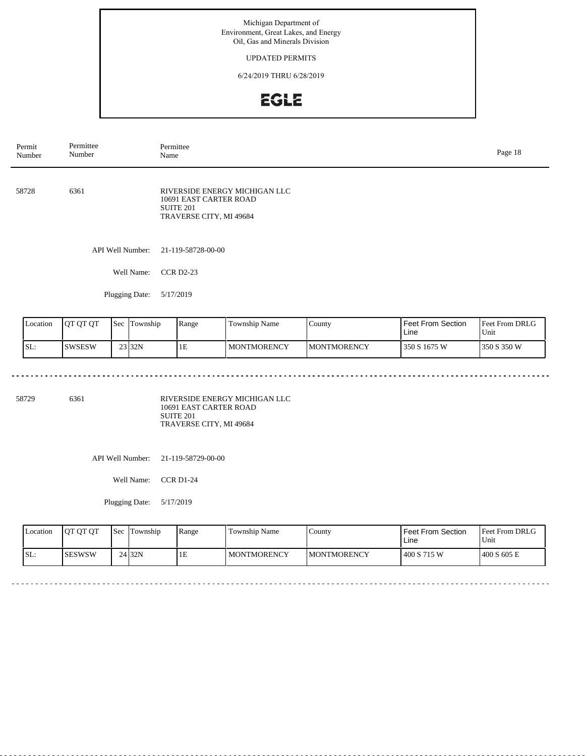## UPDATED PERMITS

6/24/2019 THRU 6/28/2019

# **EGLE**

| Permit<br>Number | Permittee<br>Number             | Permittee<br>Name                                                                               |                      |        |                   |                |  |
|------------------|---------------------------------|-------------------------------------------------------------------------------------------------|----------------------|--------|-------------------|----------------|--|
| 58728            | 6361                            | RIVERSIDE ENERGY MICHIGAN LLC<br>10691 EAST CARTER ROAD<br>SUITE 201<br>TRAVERSE CITY, MI 49684 |                      |        |                   |                |  |
|                  | API Well Number:                | 21-119-58728-00-00                                                                              |                      |        |                   |                |  |
|                  | Well Name:                      | <b>CCR D2-23</b>                                                                                |                      |        |                   |                |  |
|                  | Plugging Date:                  | 5/17/2019                                                                                       |                      |        |                   |                |  |
| Location         | <b>OT OT OT</b><br>Sec Township | Range                                                                                           | <b>Township Name</b> | County | Feet From Section | Feet From DRLG |  |

| Location | <b>IOT OT OT</b> | <b>Sec</b> | Township | Range | Township Name | County              | Feet From Section<br>∟ine | Feet From DRLG<br>Unit |
|----------|------------------|------------|----------|-------|---------------|---------------------|---------------------------|------------------------|
| SL:      | ISWSESW          |            | 23 32N   | ΙÞ    | MONTMORENCY   | <b>IMONTMORENCY</b> | 350 S 1675 W              | 350 S 350 W            |

58729 6361

<u>. . . . . . . . .</u>

RIVERSIDE ENERGY MICHIGAN LLC 10691 EAST CARTER ROAD SUITE 201 TRAVERSE CITY, MI 49684

API Well Number: 21-119-58729-00-00

Well Name: CCR D1-24

| Location | <b>IOT OT OT</b> | <b>Sec</b> | Township | Range | Township Name      | County              | <b>Feet From Section</b><br>Line | Feet From DRLG<br>Unit |
|----------|------------------|------------|----------|-------|--------------------|---------------------|----------------------------------|------------------------|
| ISL:     | ISESWSW          |            | $24$ 32N | 1E    | <b>MONTMORENCY</b> | <b>IMONTMORENCY</b> | 400 S 715 W                      | 1400 S 605 E           |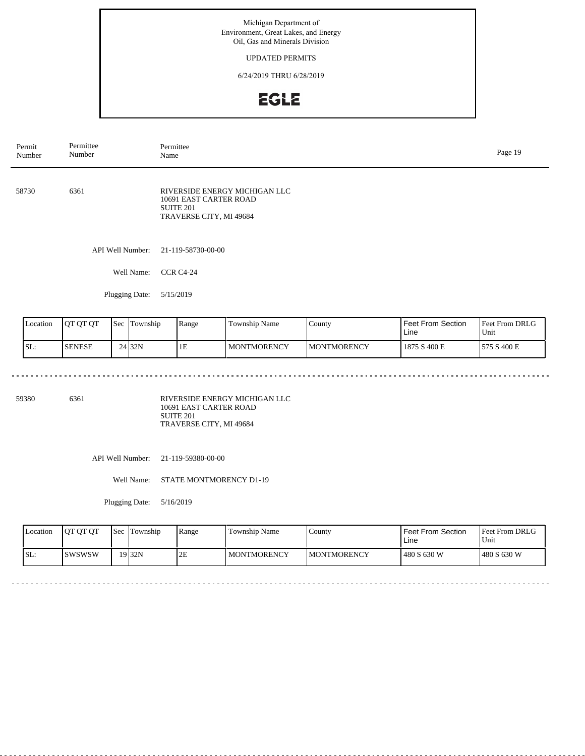### UPDATED PERMITS

6/24/2019 THRU 6/28/2019

# **EGLE**

| Permit<br>Number | Permittee<br>Number             | Permittee<br>Name                                              |                               |        |                   | Page 19        |
|------------------|---------------------------------|----------------------------------------------------------------|-------------------------------|--------|-------------------|----------------|
| 58730            | 6361                            | 10691 EAST CARTER ROAD<br>SUITE 201<br>TRAVERSE CITY, MI 49684 | RIVERSIDE ENERGY MICHIGAN LLC |        |                   |                |
|                  | API Well Number:                | 21-119-58730-00-00                                             |                               |        |                   |                |
|                  | Well Name:                      | <b>CCR C4-24</b>                                               |                               |        |                   |                |
|                  | Plugging Date:                  | 5/15/2019                                                      |                               |        |                   |                |
| Location         | <b>OT OT OT</b><br>Sec Township | Range                                                          | <b>Township Name</b>          | County | Feet From Section | Feet From DRLG |

| Location | <b>JOT OT OT</b> | 'Sec | Township           | Range        | $\sim$<br>Township Name | . County            | <b>Feet From Section</b><br>Line | <b>Feet From DRLG</b><br>Unit |
|----------|------------------|------|--------------------|--------------|-------------------------|---------------------|----------------------------------|-------------------------------|
| ISL:     | <b>ISENESE</b>   |      | 24 <sub>132N</sub> | $\sim$<br>TЕ | <b>MONTMORENCY</b>      | <b>IMONTMORENCY</b> | 1875 S 400 E                     | 575 S 400 E                   |

59380 6361

<u>. . . . . . . . . .</u>

RIVERSIDE ENERGY MICHIGAN LLC 10691 EAST CARTER ROAD SUITE 201 TRAVERSE CITY, MI 49684

API Well Number: 21-119-59380-00-00

Well Name: STATE MONTMORENCY D1-19

Plugging Date: 5/16/2019

| <b>Location</b> | <b>OT OT OT</b> | <b>Sec</b> | Township | Range | Township Name      | County              | l Feet From Section<br>Line | Feet From DRLG<br>Unit |
|-----------------|-----------------|------------|----------|-------|--------------------|---------------------|-----------------------------|------------------------|
| SL:             | Iswswsw         |            | $19$ 32N | 2Е    | <b>MONTMORENCY</b> | <b>IMONTMORENCY</b> | 480 S 630 W                 | 1480 S 630 W           |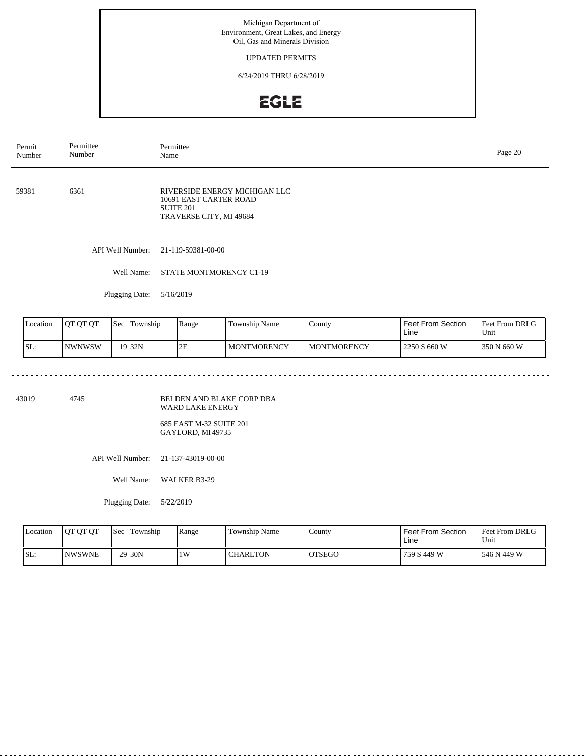### UPDATED PERMITS

6/24/2019 THRU 6/28/2019

# **EGLE**

| Permit<br>Number | Permittee<br>Number | Permittee<br>Page 20<br>Name                                                                           |  |  |  |  |
|------------------|---------------------|--------------------------------------------------------------------------------------------------------|--|--|--|--|
| 59381            | 6361                | RIVERSIDE ENERGY MICHIGAN LLC<br>10691 EAST CARTER ROAD<br><b>SUITE 201</b><br>TRAVERSE CITY, MI 49684 |  |  |  |  |
|                  | API Well Number:    | 21-119-59381-00-00                                                                                     |  |  |  |  |
|                  | Well Name:          | STATE MONTMORENCY C1-19                                                                                |  |  |  |  |
|                  | Plugging Date:      | 5/16/2019                                                                                              |  |  |  |  |
|                  |                     |                                                                                                        |  |  |  |  |

| Location | <b>JOT OT OT</b> | 'Sec | Township | Range | <b>Township Name</b> | $\mathcal{L}$ ounty | Feet From Section<br>Line | <b>Feet From DRLG</b><br>'Unit |
|----------|------------------|------|----------|-------|----------------------|---------------------|---------------------------|--------------------------------|
| SL:      | INWNWSW          |      | 19 32N   | 2E    | <b>MONTMORENCY</b>   | <b>IMONTMORENCY</b> | 2250 S 660 W              | 350 N 660 W                    |

43019 4745

BELDEN AND BLAKE CORP DBA WARD LAKE ENERGY

685 EAST M-32 SUITE 201 GAYLORD, MI 49735

API Well Number: 21-137-43019-00-00

Well Name: WALKER B3-29

Plugging Date: 5/22/2019

| <b>Location</b> | <b>OT OT OT</b> | <b>Sec</b> | Township            | Range | Township Name | County  | Feet From Section<br>∟ine | <b>Feet From DRLG</b><br>Unit |
|-----------------|-----------------|------------|---------------------|-------|---------------|---------|---------------------------|-------------------------------|
| SL:             | <b>NWSWNE</b>   |            | 29 <sub>130</sub> N | 1W    | CHARLTON      | IOTSEGO | 759 S 449 W               | 1546 N 449 W                  |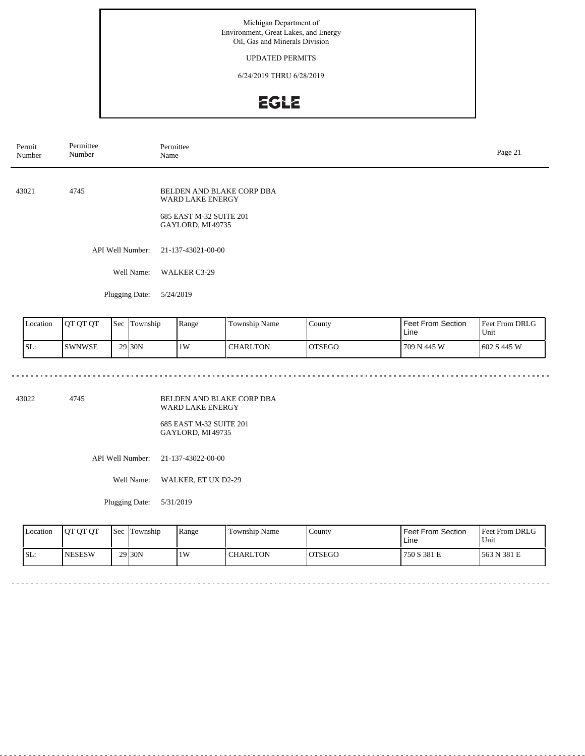### UPDATED PERMITS

6/24/2019 THRU 6/28/2019

# **EGLE**

| Permit<br>Number | Permittee<br>Number |  |                             | Permittee<br>Name                                               |                           |               |                           |                        |  |  |
|------------------|---------------------|--|-----------------------------|-----------------------------------------------------------------|---------------------------|---------------|---------------------------|------------------------|--|--|
| 43021            | 4745                |  |                             | WARD LAKE ENERGY<br>685 EAST M-32 SUITE 201<br>GAYLORD, MI49735 | BELDEN AND BLAKE CORP DBA |               |                           |                        |  |  |
|                  | API Well Number:    |  |                             | 21-137-43021-00-00                                              |                           |               |                           |                        |  |  |
|                  |                     |  | Well Name:                  | WALKER C3-29                                                    |                           |               |                           |                        |  |  |
|                  |                     |  | Plugging Date:<br>5/24/2019 |                                                                 |                           |               |                           |                        |  |  |
| Location         | QT QT QT            |  | Sec Township                | Range                                                           | Township Name             | County        | Feet From Section<br>Line | Feet From DRLG<br>Unit |  |  |
| SL:              | <b>SWNWSE</b>       |  | 29 30N                      | 1W                                                              | <b>CHARLTON</b>           | <b>OTSEGO</b> | 709 N 445 W               | 602 S 445 W            |  |  |

43022 4745

BELDEN AND BLAKE CORP DBA WARD LAKE ENERGY

685 EAST M-32 SUITE 201 GAYLORD, MI 49735

API Well Number: 21-137-43022-00-00

Well Name: WALKER, ET UX D2-29

| <b>Location</b> | <b>OT OT OT</b> | <b>Sec</b> | <b>Township</b> | Range | Township Name   | County  | Feet From Section<br>∟ine | <b>Feet From DRLG</b><br>Unit |
|-----------------|-----------------|------------|-----------------|-------|-----------------|---------|---------------------------|-------------------------------|
| SL:             | <b>NESESW</b>   |            | 29 30N          | 1W    | <b>CHARLTON</b> | IOTSEGO | 750 S 381 E               | 563 N 381 E                   |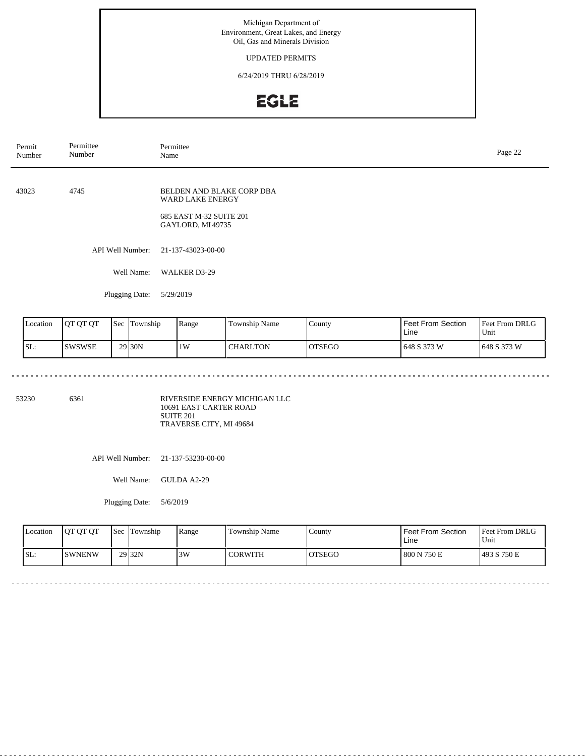## UPDATED PERMITS

6/24/2019 THRU 6/28/2019

# EGLE

| Permit<br>Number | Permittee<br>Number |  |                             | Permittee<br>Name                                                                            |               |        |                           |                        |  |  |
|------------------|---------------------|--|-----------------------------|----------------------------------------------------------------------------------------------|---------------|--------|---------------------------|------------------------|--|--|
| 43023<br>4745    |                     |  |                             | BELDEN AND BLAKE CORP DBA<br>WARD LAKE ENERGY<br>685 EAST M-32 SUITE 201<br>GAYLORD, MI49735 |               |        |                           |                        |  |  |
|                  |                     |  | <b>API Well Number:</b>     | 21-137-43023-00-00                                                                           |               |        |                           |                        |  |  |
|                  |                     |  | Well Name:                  | <b>WALKER D3-29</b>                                                                          |               |        |                           |                        |  |  |
|                  |                     |  | Plugging Date:<br>5/29/2019 |                                                                                              |               |        |                           |                        |  |  |
| Location         | QT QT QT            |  | Sec Township                | Range                                                                                        | Township Name | County | Feet From Section<br>Line | Feet From DRLG<br>Unit |  |  |

| Location | <b>OT OT OT</b> | <b>Sec</b> | lm<br>Fownship     | Range | Township Name   | County        | <b>Feet From Section</b><br>Line | <b>Feet From DRLG</b><br>Unit |
|----------|-----------------|------------|--------------------|-------|-----------------|---------------|----------------------------------|-------------------------------|
| SL:      | ISWSWSE         |            | 29 <sub>30</sub> N | 1W    | <b>CHARLTON</b> | <b>OTSEGO</b> | 1648 S 373 W                     | 1648 S 373 W                  |

53230 6361

<u>. . . . . . . . .</u>

RIVERSIDE ENERGY MICHIGAN LLC 10691 EAST CARTER ROAD SUITE 201 TRAVERSE CITY, MI 49684

API Well Number: 21-137-53230-00-00

Well Name: GULDA A2-29

Plugging Date: 5/6/2019

| Location | <b>OT OT OT</b> | <b>Sec</b> | Township           | Range | Township Name  | County        | <b>Feet From Section</b><br>∟ine | <b>Feet From DRLG</b><br>Unit |
|----------|-----------------|------------|--------------------|-------|----------------|---------------|----------------------------------|-------------------------------|
| ISL:     | ISWNENW         |            | 29 <sub>132N</sub> | 3W    | <b>CORWITH</b> | <b>OTSEGO</b> | 800 N 750 E                      | 1493 S 750 E                  |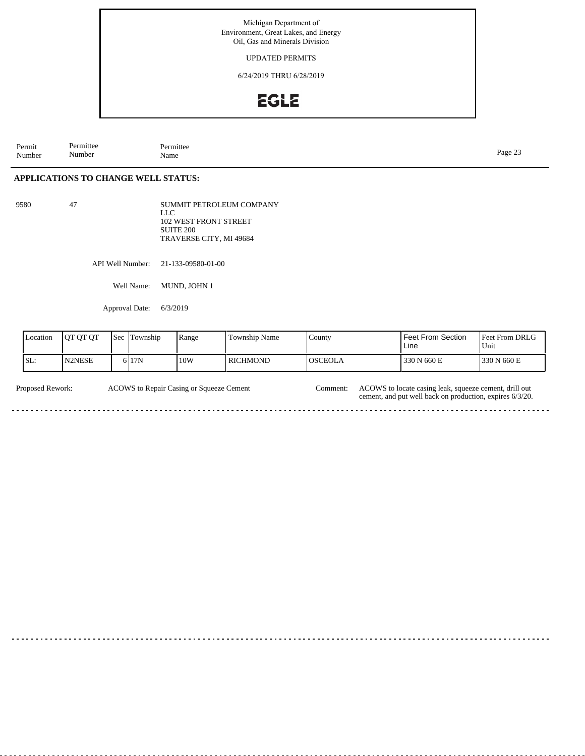UPDATED PERMITS

6/24/2019 THRU 6/28/2019

## **EGLE**

Permit Number Permittee Number Permittee<br>Name Page 23<br>Name Page 23

### **APPLICATIONS TO CHANGE WELL STATUS:**

9580 47

SUMMIT PETROLEUM COMPANY LLC 102 WEST FRONT STREET SUITE 200 TRAVERSE CITY, MI 49684

API Well Number: 21-133-09580-01-00

Well Name: MUND, JOHN 1

Approval Date: 6/3/2019

| Location | <b>JOT OT OT</b> | <b>Sec</b> | Township | Range | Township Name   | County         | Feet From Section<br>Line | <b>Feet From DRLG</b><br>Unit |
|----------|------------------|------------|----------|-------|-----------------|----------------|---------------------------|-------------------------------|
| SL:      | N2NESE           |            | 5 I 17 N | 10W   | <b>RICHMOND</b> | <b>OSCEOLA</b> | 330 N 660 E               | 330 N 660 E                   |

Proposed Rework: ACOWS to Repair Casing or Squeeze Cement Comment: ACOWS to locate casing leak, squeeze cement, drill out ACOWS to Repair Casing or Squeeze Cement Comment:

cement, and put well back on production, expires 6/3/20.

 $\sim$   $\sim$   $\sim$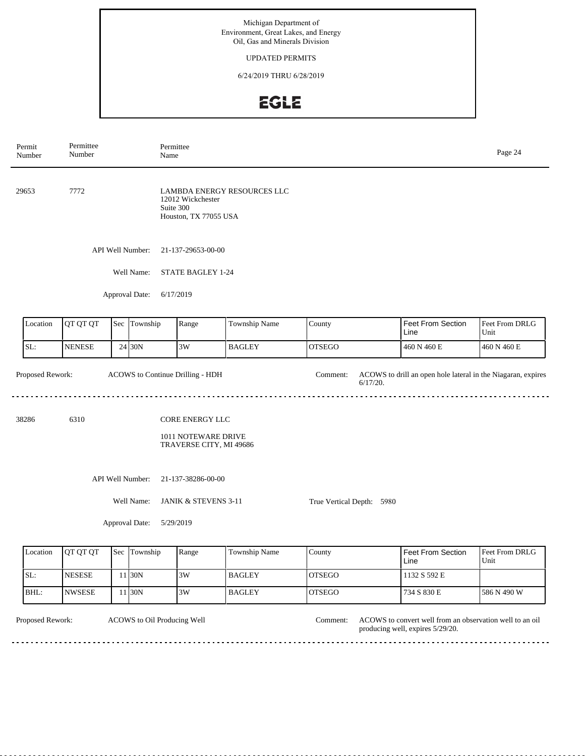## UPDATED PERMITS

6/24/2019 THRU 6/28/2019

# **EGLE**

| Permit<br>Number | Permittee<br>Number | Permittee<br>Name                |                                                                   |                             |                           |                                                              | Page 24                |
|------------------|---------------------|----------------------------------|-------------------------------------------------------------------|-----------------------------|---------------------------|--------------------------------------------------------------|------------------------|
| 29653            | 7772                | Suite 300                        | 12012 Wickchester<br>Houston, TX 77055 USA                        | LAMBDA ENERGY RESOURCES LLC |                           |                                                              |                        |
|                  |                     | API Well Number:                 | 21-137-29653-00-00                                                |                             |                           |                                                              |                        |
|                  |                     | Well Name:                       | STATE BAGLEY 1-24                                                 |                             |                           |                                                              |                        |
|                  |                     | Approval Date:                   | 6/17/2019                                                         |                             |                           |                                                              |                        |
| Location         | QT QT QT            | Sec Township                     | Range                                                             | Township Name               | County                    | Feet From Section<br>Line                                    | Feet From DRLG<br>Unit |
| SL:              | <b>NENESE</b>       | $24$ 30N                         | 3W                                                                | <b>BAGLEY</b>               | <b>OTSEGO</b>             | 460 N 460 E                                                  | 460 N 460 E            |
| Proposed Rework: |                     | ACOWS to Continue Drilling - HDH |                                                                   |                             | Comment:<br>6/17/20.      | ACOWS to drill an open hole lateral in the Niagaran, expires |                        |
| 38286            | 6310                |                                  | CORE ENERGY LLC<br>1011 NOTEWARE DRIVE<br>TRAVERSE CITY, MI 49686 |                             |                           |                                                              |                        |
|                  |                     | API Well Number:<br>Well Name:   | 21-137-38286-00-00<br>JANIK & STEVENS 3-11                        |                             | True Vertical Depth: 5980 |                                                              |                        |
|                  |                     | Approval Date:                   | 5/29/2019                                                         |                             |                           |                                                              |                        |
| Location         | QT QT QT            | Sec Township                     | Range                                                             | Township Name               | County                    | <b>Feet From Section</b><br>Line                             | Feet From DRLG<br>Unit |
| SL:              | <b>NESESE</b>       | 11 30N                           | 3W                                                                | <b>BAGLEY</b>               | <b>OTSEGO</b>             | 1132 S 592 E                                                 |                        |
| BHL:             | <b>NWSESE</b>       | 11 30N                           | 3W                                                                | <b>BAGLEY</b>               | <b>OTSEGO</b>             | 734 S 830 E                                                  | 586 N 490 W            |
| Proposed Rework: |                     | ACOWS to Oil Producing Well      |                                                                   |                             | Comment:                  | ACOWS to convert well from an observation well to an oil     |                        |

<u>a a a a a a a a a a</u>

producing well, expires 5/29/20.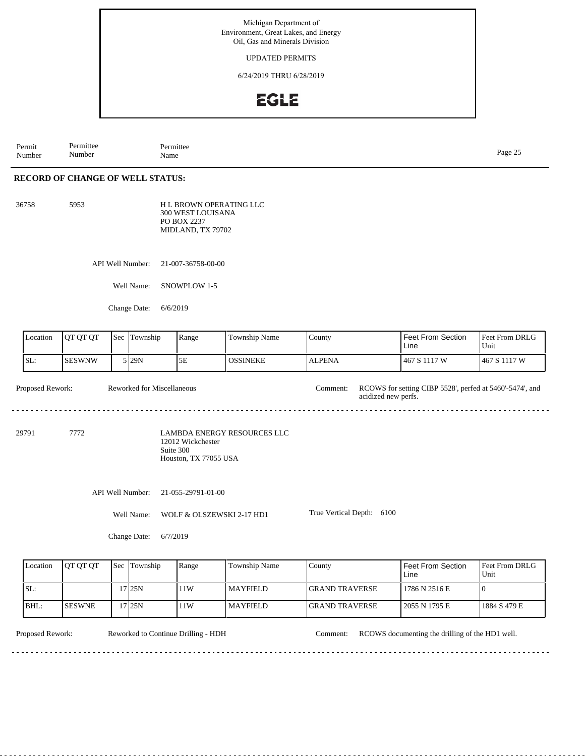UPDATED PERMITS

6/24/2019 THRU 6/28/2019

## **EGLE**

Permit Number Permittee Number Permittee<br>Name Page 25<br>Name Page 25

## **RECORD OF CHANGE OF WELL STATUS:**

5953 H L BROWN OPERATING LLC 300 WEST LOUISANA PO BOX 2237 MIDLAND, TX 79702

API Well Number: 21-007-36758-00-00

Well Name: SNOWPLOW 1-5

Change Date: 6/6/2019

| Location         | QT QT QT      | Sec | Township                   | Range                                                   | Township Name                      | County                          | <b>Feet From Section</b><br>Line                         | Feet From DRLG<br>Unit |  |  |  |
|------------------|---------------|-----|----------------------------|---------------------------------------------------------|------------------------------------|---------------------------------|----------------------------------------------------------|------------------------|--|--|--|
| SL:              | <b>SESWNW</b> |     | 5 29N                      | 5E                                                      | <b>OSSINEKE</b>                    | <b>ALPENA</b>                   | 467 S 1117 W                                             | 467 S 1117 W           |  |  |  |
| Proposed Rework: |               |     | Reworked for Miscellaneous |                                                         |                                    | Comment:<br>acidized new perfs. | RCOWS for setting CIBP 5528', perfed at 5460'-5474', and |                        |  |  |  |
| 29791            | 7772          |     |                            | 12012 Wickchester<br>Suite 300<br>Houston, TX 77055 USA | <b>LAMBDA ENERGY RESOURCES LLC</b> |                                 |                                                          |                        |  |  |  |
|                  |               |     | API Well Number:           | 21-055-29791-01-00                                      |                                    |                                 |                                                          |                        |  |  |  |
|                  |               |     | Well Name:                 | WOLF & OLSZEWSKI 2-17 HD1                               |                                    | True Vertical Depth: 6100       |                                                          |                        |  |  |  |
|                  |               |     | Change Date:               | 6/7/2019                                                |                                    |                                 |                                                          |                        |  |  |  |
| Location         | QT QT QT      | Sec | Township                   | Range                                                   | Township Name                      | County                          | Feet From Section<br>Line                                | Feet From DRLG<br>Unit |  |  |  |
| SL:              |               |     | $17$ 25N                   | 11W                                                     | <b>MAYFIELD</b>                    | <b>GRAND TRAVERSE</b>           | 1786 N 2516 E                                            | $\mathbf{0}$           |  |  |  |
| BHL:             | <b>SESWNE</b> |     | $17$ 25N                   | 11W                                                     | <b>MAYFIELD</b>                    | <b>GRAND TRAVERSE</b>           | 2055 N 1795 E                                            | 1884 S 479 E           |  |  |  |

<u>. . . . . . . . . . . . . . . . .</u>

<u>. . . . . . . . .</u>

Proposed Rework: Reworked to Continue Drilling - HDH Comment: RCOWS documenting the drilling of the HD1 well.

<u>. . . . . . . .</u>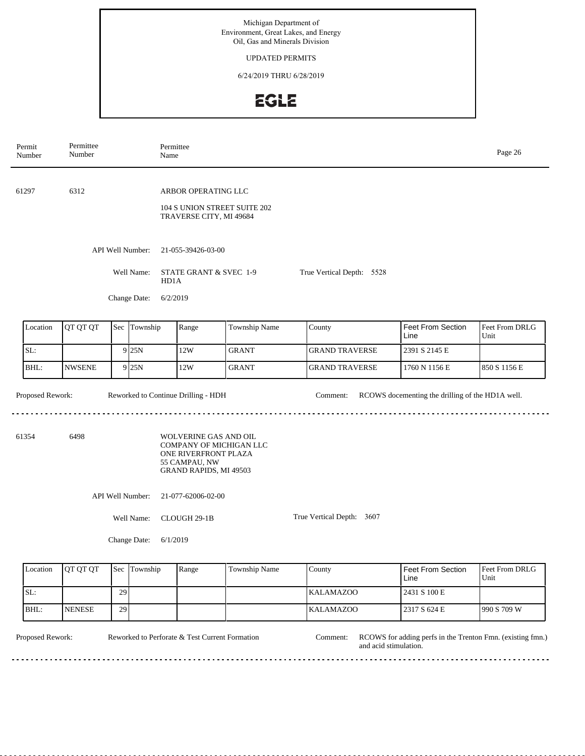### UPDATED PERMITS

6/24/2019 THRU 6/28/2019

# EGLE

| Permit<br>Number | Permittee<br>Number |     |                  | Permittee<br>Name                                           |                                                                                                                     |                              |  |                           |                                                  | Page 26                |  |  |
|------------------|---------------------|-----|------------------|-------------------------------------------------------------|---------------------------------------------------------------------------------------------------------------------|------------------------------|--|---------------------------|--------------------------------------------------|------------------------|--|--|
| 61297            | 6312                |     |                  |                                                             | ARBOR OPERATING LLC<br>TRAVERSE CITY, MI 49684                                                                      | 104 S UNION STREET SUITE 202 |  |                           |                                                  |                        |  |  |
|                  |                     |     | API Well Number: |                                                             | 21-055-39426-03-00                                                                                                  |                              |  |                           |                                                  |                        |  |  |
|                  |                     |     | Well Name:       | STATE GRANT & SVEC 1-9<br>True Vertical Depth: 5528<br>HD1A |                                                                                                                     |                              |  |                           |                                                  |                        |  |  |
| Change Date:     |                     |     |                  | 6/2/2019                                                    |                                                                                                                     |                              |  |                           |                                                  |                        |  |  |
| Location         | QT QT QT            | Sec | Township         |                                                             | Range                                                                                                               | Township Name                |  | County                    | <b>Feet From Section</b><br>Line                 | Feet From DRLG<br>Unit |  |  |
| SL:              |                     |     | $9$ 25N          |                                                             | 12W                                                                                                                 | <b>GRANT</b>                 |  | <b>GRAND TRAVERSE</b>     | 2391 S 2145 E                                    |                        |  |  |
| BHL:             | <b>NWSENE</b>       |     | 9 25N            |                                                             | 12W                                                                                                                 | <b>GRANT</b>                 |  | <b>GRAND TRAVERSE</b>     | 1760 N 1156 E                                    | 850 S 1156 E           |  |  |
| Proposed Rework: |                     |     |                  |                                                             | Reworked to Continue Drilling - HDH                                                                                 |                              |  | Comment:                  | RCOWS docementing the drilling of the HD1A well. |                        |  |  |
| 61354            | 6498                |     |                  |                                                             | WOLVERINE GAS AND OIL<br>COMPANY OF MICHIGAN LLC<br>ONE RIVERFRONT PLAZA<br>55 CAMPAU, NW<br>GRAND RAPIDS, MI 49503 |                              |  |                           |                                                  |                        |  |  |
|                  |                     |     | API Well Number: | 21-077-62006-02-00                                          |                                                                                                                     |                              |  |                           |                                                  |                        |  |  |
|                  |                     |     | Well Name:       | CLOUGH 29-1B                                                |                                                                                                                     |                              |  | True Vertical Depth: 3607 |                                                  |                        |  |  |
|                  |                     |     | Change Date:     | 6/1/2019                                                    |                                                                                                                     |                              |  |                           |                                                  |                        |  |  |
| Location         | QT QT QT            | Sec | Township         |                                                             | Range                                                                                                               | Township Name                |  | County                    | Feet From Section<br>Line                        | Feet From DRLG<br>Unit |  |  |
| SL:              |                     | 29  |                  |                                                             |                                                                                                                     |                              |  | KALAMAZOO                 | 2431 S 100 E                                     |                        |  |  |

BHL: NENESE

29

Reworked to Perforate & Test Current Formation Comment:

<u>. . . . . . . . . . . .</u>

Proposed Rework: Reworked to Perforate & Test Current Formation Comment: RCOWS for adding perfs in the Trenton Fmn. (existing fmn.) and acid stimulation.

990 S 709 W

2317 S 624 E

KALAMAZOO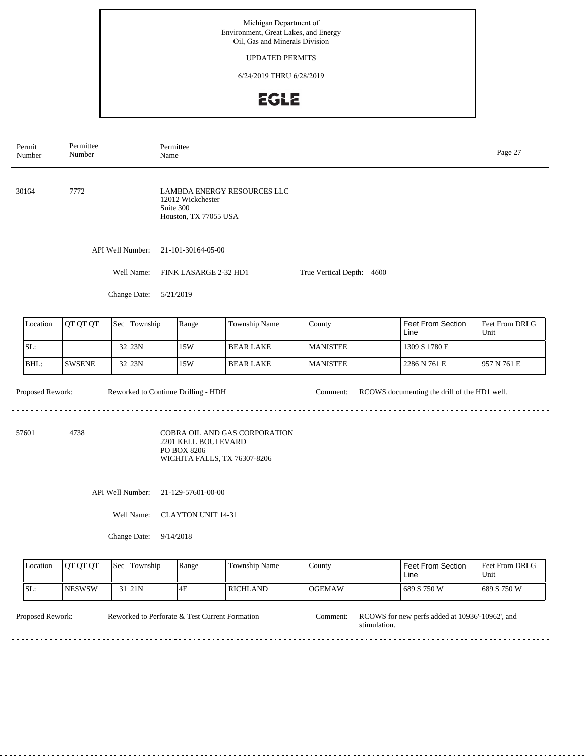## UPDATED PERMITS

6/24/2019 THRU 6/28/2019

# EGLE

 $\overline{\phantom{0}}$ 

|                                                                                                                     | Permit<br>Number                                                                                                                                  | Permittee<br>Number                                              |     | Permittee<br>Name |                                            |                             |                 |                           | Page 27                |  |  |
|---------------------------------------------------------------------------------------------------------------------|---------------------------------------------------------------------------------------------------------------------------------------------------|------------------------------------------------------------------|-----|-------------------|--------------------------------------------|-----------------------------|-----------------|---------------------------|------------------------|--|--|
|                                                                                                                     | 30164                                                                                                                                             | 7772                                                             |     | Suite 300         | 12012 Wickchester<br>Houston, TX 77055 USA | LAMBDA ENERGY RESOURCES LLC |                 |                           |                        |  |  |
|                                                                                                                     |                                                                                                                                                   | API Well Number:<br>21-101-30164-05-00                           |     |                   |                                            |                             |                 |                           |                        |  |  |
|                                                                                                                     |                                                                                                                                                   | Well Name:<br>FINK LASARGE 2-32 HD1<br>True Vertical Depth: 4600 |     |                   |                                            |                             |                 |                           |                        |  |  |
|                                                                                                                     |                                                                                                                                                   |                                                                  |     | Change Date:      | 5/21/2019                                  |                             |                 |                           |                        |  |  |
|                                                                                                                     | Location                                                                                                                                          | QT QT QT                                                         | Sec | Township          | Range                                      | Township Name               | County          | Feet From Section<br>Line | Feet From DRLG<br>Unit |  |  |
|                                                                                                                     | SL:                                                                                                                                               |                                                                  |     | 32 23N            | 15W                                        | <b>BEAR LAKE</b>            | <b>MANISTEE</b> | 1309 S 1780 E             |                        |  |  |
|                                                                                                                     | BHL:                                                                                                                                              | <b>SWSENE</b>                                                    |     | 32 23N            | 15W                                        | <b>BEAR LAKE</b>            | <b>MANISTEE</b> | 2286 N 761 E              | 957 N 761 E            |  |  |
| Proposed Rework:<br>Reworked to Continue Drilling - HDH<br>RCOWS documenting the drill of the HD1 well.<br>Comment: |                                                                                                                                                   |                                                                  |     |                   |                                            |                             |                 |                           |                        |  |  |
|                                                                                                                     | 4738<br>COBRA OIL AND GAS CORPORATION<br>57601<br>2201 KELL BOULEVARD<br>PO BOX 8206<br>WICHITA FALLS, TX 76307-8206                              |                                                                  |     |                   |                                            |                             |                 |                           |                        |  |  |
|                                                                                                                     |                                                                                                                                                   | API Well Number:<br>21-129-57601-00-00                           |     |                   |                                            |                             |                 |                           |                        |  |  |
|                                                                                                                     |                                                                                                                                                   | Well Name:<br><b>CLAYTON UNIT 14-31</b>                          |     |                   |                                            |                             |                 |                           |                        |  |  |
|                                                                                                                     |                                                                                                                                                   | Change Date:<br>9/14/2018                                        |     |                   |                                            |                             |                 |                           |                        |  |  |
|                                                                                                                     | Location                                                                                                                                          | QT QT QT                                                         |     | Sec Township      | Range                                      | Township Name               | County          | Feet From Section<br>Line | Feet From DRLG<br>Unit |  |  |
|                                                                                                                     | SL:                                                                                                                                               | <b>NESWSW</b>                                                    |     | $31$ 21N          | 4E                                         | <b>RICHLAND</b>             | <b>OGEMAW</b>   | 689 S 750 W               | 689 S 750 W            |  |  |
|                                                                                                                     | Proposed Rework:<br>Reworked to Perforate & Test Current Formation<br>RCOWS for new perfs added at 10936'-10962', and<br>Comment:<br>stimulation. |                                                                  |     |                   |                                            |                             |                 |                           |                        |  |  |